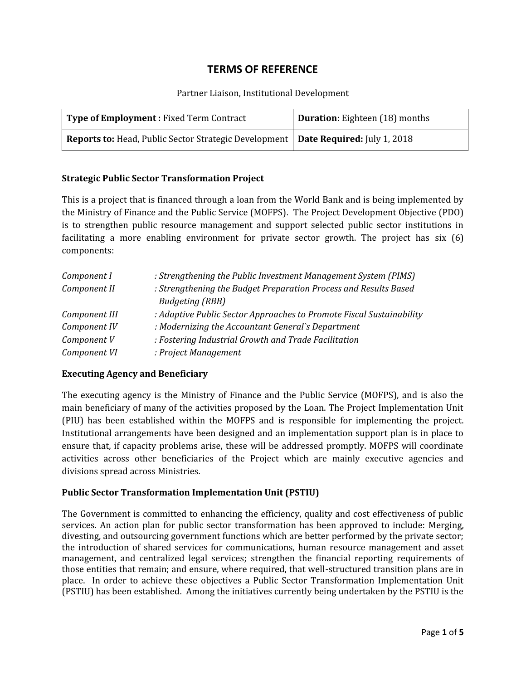# **TERMS OF REFERENCE**

#### Partner Liaison, Institutional Development

| <b>Type of Employment: Fixed Term Contract</b>                                             | Duration: Eighteen (18) months |
|--------------------------------------------------------------------------------------------|--------------------------------|
| <b>Reports to:</b> Head, Public Sector Strategic Development   Date Required: July 1, 2018 |                                |

## **Strategic Public Sector Transformation Project**

This is a project that is financed through a loan from the World Bank and is being implemented by the Ministry of Finance and the Public Service (MOFPS). The Project Development Objective (PDO) is to strengthen public resource management and support selected public sector institutions in facilitating a more enabling environment for private sector growth. The project has six (6) components:

| Component I   | : Strengthening the Public Investment Management System (PIMS)       |
|---------------|----------------------------------------------------------------------|
| Component II  | : Strengthening the Budget Preparation Process and Results Based     |
|               | <b>Budgeting (RBB)</b>                                               |
| Component III | : Adaptive Public Sector Approaches to Promote Fiscal Sustainability |
| Component IV  | : Modernizing the Accountant General's Department                    |
| Component V   | : Fostering Industrial Growth and Trade Facilitation                 |
| Component VI  | : Project Management                                                 |

#### **Executing Agency and Beneficiary**

The executing agency is the Ministry of Finance and the Public Service (MOFPS), and is also the main beneficiary of many of the activities proposed by the Loan. The Project Implementation Unit (PIU) has been established within the MOFPS and is responsible for implementing the project. Institutional arrangements have been designed and an implementation support plan is in place to ensure that, if capacity problems arise, these will be addressed promptly. MOFPS will coordinate activities across other beneficiaries of the Project which are mainly executive agencies and divisions spread across Ministries.

# **Public Sector Transformation Implementation Unit (PSTIU)**

The Government is committed to enhancing the efficiency, quality and cost effectiveness of public services. An action plan for public sector transformation has been approved to include: Merging, divesting, and outsourcing government functions which are better performed by the private sector; the introduction of shared services for communications, human resource management and asset management, and centralized legal services; strengthen the financial reporting requirements of those entities that remain; and ensure, where required, that well-structured transition plans are in place. In order to achieve these objectives a Public Sector Transformation Implementation Unit (PSTIU) has been established. Among the initiatives currently being undertaken by the PSTIU is the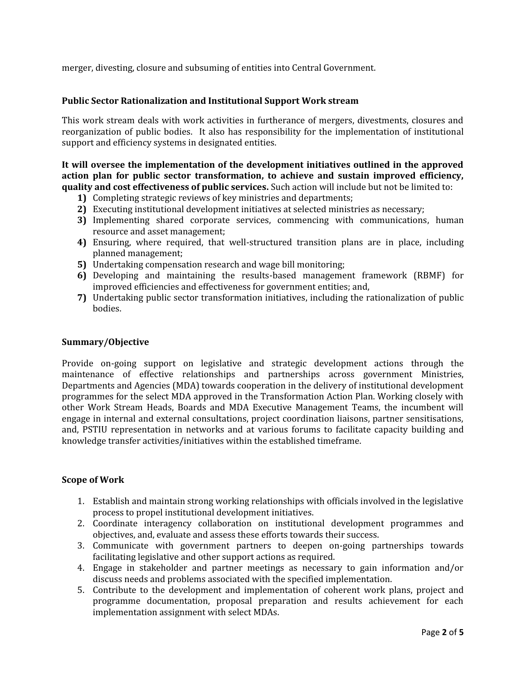merger, divesting, closure and subsuming of entities into Central Government.

## **Public Sector Rationalization and Institutional Support Work stream**

This work stream deals with work activities in furtherance of mergers, divestments, closures and reorganization of public bodies. It also has responsibility for the implementation of institutional support and efficiency systems in designated entities.

**It will oversee the implementation of the development initiatives outlined in the approved action plan for public sector transformation, to achieve and sustain improved efficiency, quality and cost effectiveness of public services.** Such action will include but not be limited to:

- **1)** Completing strategic reviews of key ministries and departments;
- **2)** Executing institutional development initiatives at selected ministries as necessary;
- **3)** Implementing shared corporate services, commencing with communications, human resource and asset management;
- **4)** Ensuring, where required, that well-structured transition plans are in place, including planned management;
- **5)** Undertaking compensation research and wage bill monitoring;
- **6)** Developing and maintaining the results-based management framework (RBMF) for improved efficiencies and effectiveness for government entities; and,
- **7)** Undertaking public sector transformation initiatives, including the rationalization of public bodies.

#### **Summary/Objective**

Provide on-going support on legislative and strategic development actions through the maintenance of effective relationships and partnerships across government Ministries, Departments and Agencies (MDA) towards cooperation in the delivery of institutional development programmes for the select MDA approved in the Transformation Action Plan. Working closely with other Work Stream Heads, Boards and MDA Executive Management Teams, the incumbent will engage in internal and external consultations, project coordination liaisons, partner sensitisations, and, PSTIU representation in networks and at various forums to facilitate capacity building and knowledge transfer activities/initiatives within the established timeframe.

#### **Scope of Work**

- 1. Establish and maintain strong working relationships with officials involved in the legislative process to propel institutional development initiatives.
- 2. Coordinate interagency collaboration on institutional development programmes and objectives, and, evaluate and assess these efforts towards their success.
- 3. Communicate with government partners to deepen on-going partnerships towards facilitating legislative and other support actions as required.
- 4. Engage in stakeholder and partner meetings as necessary to gain information and/or discuss needs and problems associated with the specified implementation.
- 5. Contribute to the development and implementation of coherent work plans, project and programme documentation, proposal preparation and results achievement for each implementation assignment with select MDAs.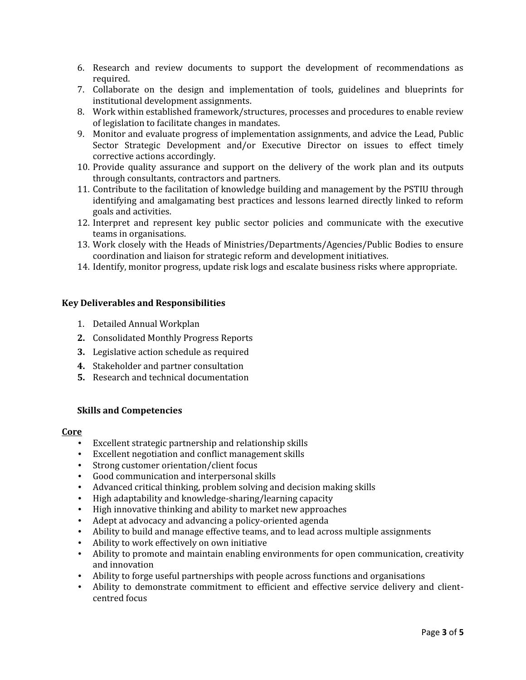- 6. Research and review documents to support the development of recommendations as required.
- 7. Collaborate on the design and implementation of tools, guidelines and blueprints for institutional development assignments.
- 8. Work within established framework/structures, processes and procedures to enable review of legislation to facilitate changes in mandates.
- 9. Monitor and evaluate progress of implementation assignments, and advice the Lead, Public Sector Strategic Development and/or Executive Director on issues to effect timely corrective actions accordingly.
- 10. Provide quality assurance and support on the delivery of the work plan and its outputs through consultants, contractors and partners.
- 11. Contribute to the facilitation of knowledge building and management by the PSTIU through identifying and amalgamating best practices and lessons learned directly linked to reform goals and activities.
- 12. Interpret and represent key public sector policies and communicate with the executive teams in organisations.
- 13. Work closely with the Heads of Ministries/Departments/Agencies/Public Bodies to ensure coordination and liaison for strategic reform and development initiatives.
- 14. Identify, monitor progress, update risk logs and escalate business risks where appropriate.

#### **Key Deliverables and Responsibilities**

- 1. Detailed Annual Workplan
- **2.** Consolidated Monthly Progress Reports
- **3.** Legislative action schedule as required
- **4.** Stakeholder and partner consultation
- **5.** Research and technical documentation

#### **Skills and Competencies**

#### **Core**

- Excellent strategic partnership and relationship skills
- Excellent negotiation and conflict management skills
- Strong customer orientation/client focus<br>• Good communication and interpersonal s
- Good communication and interpersonal skills
- Advanced critical thinking, problem solving and decision making skills
- High adaptability and knowledge-sharing/learning capacity
- High innovative thinking and ability to market new approaches
- Adept at advocacy and advancing a policy-oriented agenda
- Ability to build and manage effective teams, and to lead across multiple assignments
- Ability to work effectively on own initiative<br>• Ability to promote and maintain enabling ei
- Ability to promote and maintain enabling environments for open communication, creativity and innovation
- Ability to forge useful partnerships with people across functions and organisations
- Ability to demonstrate commitment to efficient and effective service delivery and client centred focus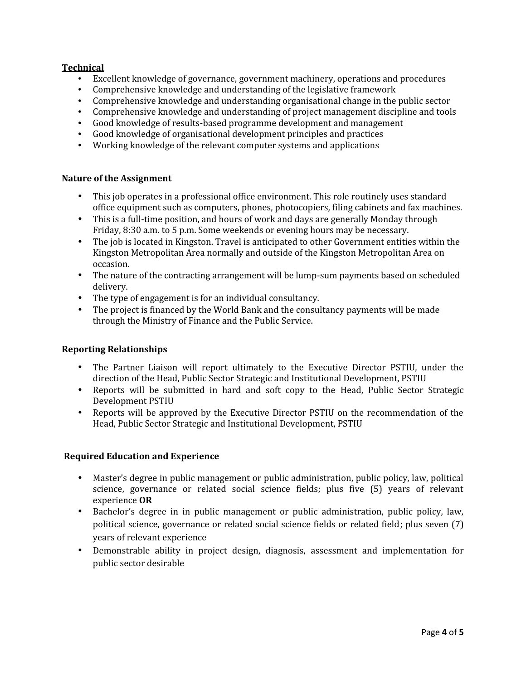# **Technical**

- Excellent knowledge of governance, government machinery, operations and procedures
- 
- Comprehensive knowledge and understanding of the legislative framework<br>• Comprehensive knowledge and understanding organisational change in the public sector
- Comprehensive knowledge and understanding of project management discipline and tools<br>• Good knowledge of results-based programme development and management
- 
- Good knowledge of organisational development principles and practices
- Working knowledge of the relevant computer systems and applications

#### **Nature of the Assignment**

- This job operates in a professional office environment. This role routinely uses standard office equipment such as computers, phones, photocopiers, filing cabinets and fax machines.
- This is a full-time position, and hours of work and days are generally Monday through<br>Friday, 8:30 a.m. to 5 p.m. Some weekends or evening hours may be necessary.
- The job is located in Kingston. Travel is anticipated to other Government entities within the Kingston Metropolitan Area normally and outside of the Kingston Metropolitan Area on
- The nature of the contracting arrangement will be lump-sum payments based on scheduled delivery.
- 
- The type of engagement is for an individual consultancy.<br>
The project is financed by the World Bank and the consultancy payments will be made through the Ministry of Finance and the Public Service.

#### **Reporting Relationships**

- The Partner Liaison will report ultimately to the Executive Director PSTIU, under the direction of the Head, Public Sector Strategic and Institutional Development, PSTIU
- Reports will be submitted in hard and soft copy to the Head, Public Sector Strategic Development PSTIU
- Reports will be approved by the Executive Director PSTIU on the recommendation of the Head, Public Sector Strategic and Institutional Development, PSTIU

# **Required Education and Experience**

- Master's degree in public management or public administration, public policy, law, political science, governance or related social science fields; plus five (5) years of relevant experience **OR**
- Bachelor's degree in in public management or public administration, public policy, law, political science, governance or related social science fields or related field; plus seven (7) years of relevant experience
- Demonstrable ability in project design, diagnosis, assessment and implementation for public sector desirable